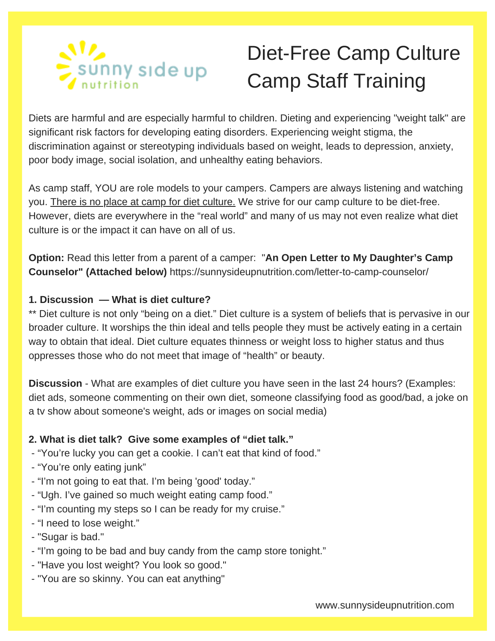

# Diet-Free Camp Culture Camp Staff Training

Diets are harmful and are especially harmful to children. Dieting and experiencing "weight talk" are significant risk factors for developing eating disorders. Experiencing weight stigma, the discrimination against or stereotyping individuals based on weight, leads to depression, anxiety, poor body image, social isolation, and unhealthy eating behaviors.

As camp staff, YOU are role models to your campers. Campers are always listening and watching you. There is no place at camp for diet culture. We strive for our camp culture to be diet-free. However, diets are everywhere in the "real world" and many of us may not even realize what diet culture is or the impact it can have on all of us.

**Option:** Read this letter from a parent of a camper: "**An Open Letter to My Daughter's Camp Counselor" (Attached below)** https://sunnysideupnutrition.com/letter-to-camp-counselor/

#### **1. Discussion — What is diet culture?**

\*\* Diet culture is not only "being on a diet." Diet culture is a system of beliefs that is pervasive in our broader culture. It worships the thin ideal and tells people they must be actively eating in a certain way to obtain that ideal. Diet culture equates thinness or weight loss to higher status and thus oppresses those who do not meet that image of "health" or beauty.

**Discussion** - What are examples of diet culture you have seen in the last 24 hours? (Examples: diet ads, someone commenting on their own diet, someone classifying food as good/bad, a joke on a tv show about someone's weight, ads or images on social media)

#### **2. What is diet talk? Give some examples of "diet talk."**

- "You're lucky you can get a cookie. I can't eat that kind of food."
- "You're only eating junk"
- "I'm not going to eat that. I'm being 'good' today."
- "Ugh. I've gained so much weight eating camp food."
- "I'm counting my steps so I can be ready for my cruise."
- "I need to lose weight."
- "Sugar is bad."
- "I'm going to be bad and buy candy from the camp store tonight."
- "Have you lost weight? You look so good."
- "You are so skinny. You can eat anything"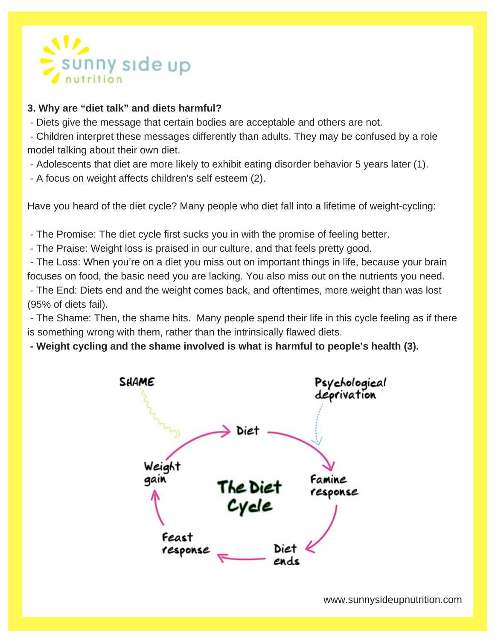

#### **3. Why are "diet talk" and diets harmful?**

- Diets give the message that certain bodies are acceptable and others are not.

- Children interpret these messages differently than adults. They may be confused by a role model talking about their own diet.

- Adolescents that diet are more likely to exhibit eating disorder behavior 5 years later (1).
- A focus on weight affects children's self esteem (2).

Have you heard of the diet cycle? Many people who diet fall into a lifetime of weight-cycling:

- The Promise: The diet cycle first sucks you in with the promise of feeling better.

- The Praise: Weight loss is praised in our culture, and that feels pretty good.

- The Loss: When you're on a diet you miss out on important things in life, because your brain focuses on food, the basic need you are lacking. You also miss out on the nutrients you need.

- The End: Diets end and the weight comes back, and oftentimes, more weight than was lost (95% of diets fail).

- The Shame: Then, the shame hits. Many people spend their life in this cycle feeling as if there is something wrong with them, rather than the intrinsically flawed diets.

**- Weight cycling and the shame involved is what is harmful to people's health (3).**

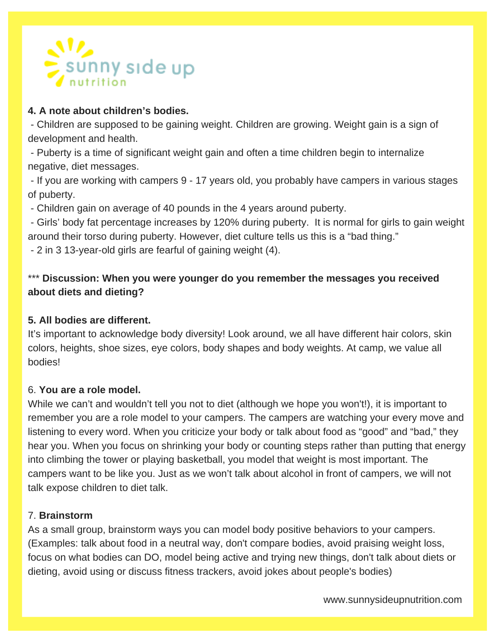

#### **4. A note about children's bodies.**

- Children are supposed to be gaining weight. Children are growing. Weight gain is a sign of development and health.

- Puberty is a time of significant weight gain and often a time children begin to internalize negative, diet messages.

- If you are working with campers 9 - 17 years old, you probably have campers in various stages of puberty.

- Children gain on average of 40 pounds in the 4 years around puberty.

- Girls' body fat percentage increases by 120% during puberty. It is normal for girls to gain weight around their torso during puberty. However, diet culture tells us this is a "bad thing."

- 2 in 3 13-year-old girls are fearful of gaining weight (4).

#### \*\*\* **Discussion: When you were younger do you remember the messages you received about diets and dieting?**

#### **5. All bodies are different.**

It's important to acknowledge body diversity! Look around, we all have different hair colors, skin colors, heights, shoe sizes, eye colors, body shapes and body weights. At camp, we value all bodies!

#### 6. **You are a role model.**

While we can't and wouldn't tell you not to diet (although we hope you won't!), it is important to remember you are a role model to your campers. The campers are watching your every move and listening to every word. When you criticize your body or talk about food as "good" and "bad," they hear you. When you focus on shrinking your body or counting steps rather than putting that energy into climbing the tower or playing basketball, you model that weight is most important. The campers want to be like you. Just as we won't talk about alcohol in front of campers, we will not talk expose children to diet talk.

#### 7. **Brainstorm**

As a small group, brainstorm ways you can model body positive behaviors to your campers. (Examples: talk about food in a neutral way, don't compare bodies, avoid praising weight loss, focus on what bodies can DO, model being active and trying new things, don't talk about diets or dieting, avoid using or discuss fitness trackers, avoid jokes about people's bodies)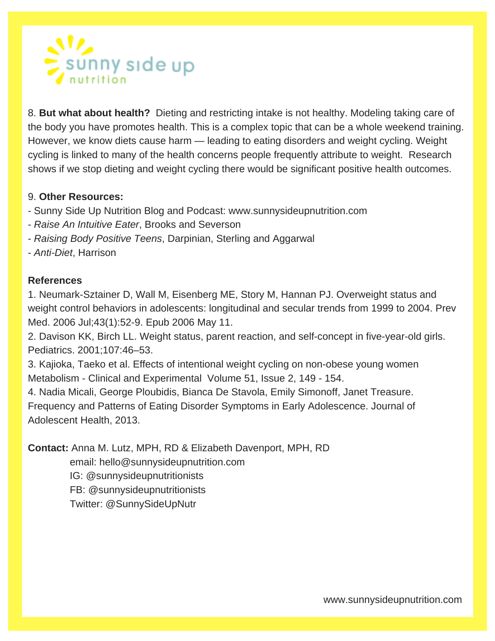

8. **But what about health?** Dieting and restricting intake is not healthy. Modeling taking care of the body you have promotes health. This is a complex topic that can be a whole weekend training. However, we know diets cause harm — leading to eating disorders and weight cycling. Weight cycling is linked to many of the health concerns people frequently attribute to weight. Research shows if we stop dieting and weight cycling there would be significant positive health outcomes.

#### 9. **Other Resources:**

- Sunny Side Up Nutrition Blog and Podcast: www.sunnysideupnutrition.com
- *Raise An Intuitive Eater*, Brooks and Severson
- *Raising Body Positive Teens*, Darpinian, Sterling and Aggarwal
- *Anti-Diet*, Harrison

#### **References**

1. Neumark-Sztainer D, Wall M, Eisenberg ME, Story M, Hannan PJ. Overweight status and weight control behaviors in adolescents: longitudinal and secular trends from 1999 to 2004. Prev Med. 2006 Jul;43(1):52-9. Epub 2006 May 11.

2. Davison KK, Birch LL. Weight status, parent reaction, and self-concept in five-year-old girls. Pediatrics. 2001;107:46–53.

3. Kajioka, Taeko et al. Effects of intentional weight cycling on non-obese young women Metabolism - Clinical and Experimental Volume 51, Issue 2, 149 - 154.

4. Nadia Micali, George Ploubidis, Bianca De Stavola, Emily Simonoff, Janet Treasure. Frequency and Patterns of Eating Disorder Symptoms in Early Adolescence. Journal of Adolescent Health, 2013.

**Contact:** Anna M. Lutz, MPH, RD & Elizabeth Davenport, MPH, RD

email: hello@sunnysideupnutrition.com

IG: @sunnysideupnutritionists

FB: @sunnysideupnutritionists

Twitter: @SunnySideUpNutr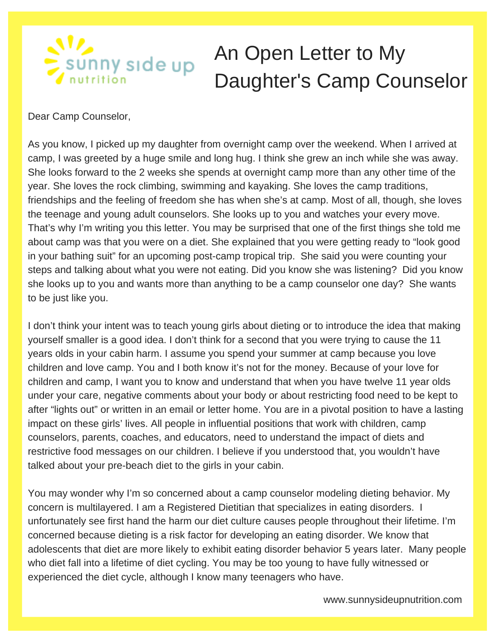### **SIA**<br>Esunny side up An Open Letter to My Daughter's Camp Counselor

Dear Camp Counselor,

As you know, I picked up my daughter from overnight camp over the weekend. When I arrived at camp, I was greeted by a huge smile and long hug. I think she grew an inch while she was away. She looks forward to the 2 weeks she spends at overnight camp more than any other time of the year. She loves the rock climbing, swimming and kayaking. She loves the camp traditions, friendships and the feeling of freedom she has when she's at camp. Most of all, though, she loves the teenage and young adult counselors. She looks up to you and watches your every move. That's why I'm writing you this letter. You may be surprised that one of the first things she told me about camp was that you were on a diet. She explained that you were getting ready to "look good in your bathing suit" for an upcoming post-camp tropical trip. She said you were counting your steps and talking about what you were not eating. Did you know she was listening? Did you know she looks up to you and wants more than anything to be a camp counselor one day? She wants to be just like you.

I don't think your intent was to teach young girls about dieting or to introduce the idea that making yourself smaller is a good idea. I don't think for a second that you were trying to cause the 11 years olds in your cabin harm. I assume you spend your summer at camp because you love children and love camp. You and I both know it's not for the money. Because of your love for children and camp, I want you to know and understand that when you have twelve 11 year olds under your care, negative comments about your body or about restricting food need to be kept to after "lights out" or written in an email or letter home. You are in a pivotal position to have a lasting impact on these girls' lives. All people in influential positions that work with children, camp counselors, parents, coaches, and educators, need to understand the impact of diets and restrictive food messages on our children. I believe if you understood that, you wouldn't have talked about your pre-beach diet to the girls in your cabin.

You may wonder why I'm so concerned about a camp counselor modeling dieting behavior. My concern is multilayered. I am a Registered Dietitian that specializes in eating disorders. I unfortunately see first hand the harm our diet culture causes people throughout their lifetime. I'm concerned because dieting is a risk factor for developing an eating disorder. We know that adolescents that diet are more likely to exhibit eating disorder behavior 5 years later. Many people who diet fall into a lifetime of diet cycling. You may be too young to have fully witnessed or experienced the diet cycle, although I know many teenagers who have.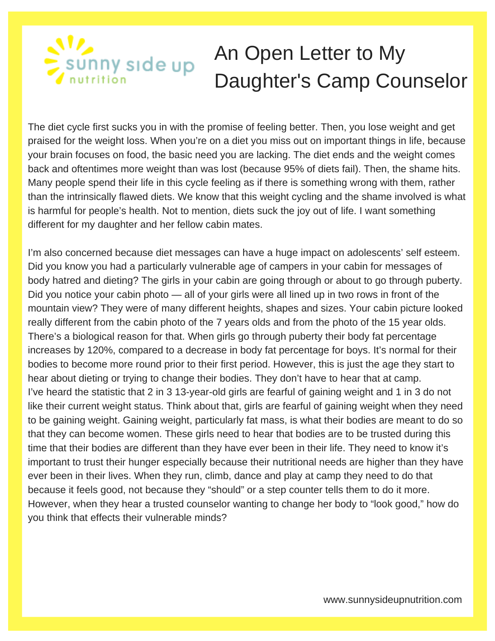## **AIA**<br>E SUNNY SIde up An Open Letter to My Daughter's Camp Counselor

The diet cycle first sucks you in with the promise of feeling better. Then, you lose weight and get praised for the weight loss. When you're on a diet you miss out on important things in life, because your brain focuses on food, the basic need you are lacking. The diet ends and the weight comes back and oftentimes more weight than was lost (because 95% of diets fail). Then, the shame hits. Many people spend their life in this cycle feeling as if there is something wrong with them, rather than the intrinsically flawed diets. We know that this weight cycling and the shame involved is what is harmful for people's health. Not to mention, diets suck the joy out of life. I want something different for my daughter and her fellow cabin mates.

I'm also concerned because diet messages can have a huge impact on adolescents' self esteem. Did you know you had a particularly vulnerable age of campers in your cabin for messages of body hatred and dieting? The girls in your cabin are going through or about to go through puberty. Did you notice your cabin photo — all of your girls were all lined up in two rows in front of the mountain view? They were of many different heights, shapes and sizes. Your cabin picture looked really different from the cabin photo of the 7 years olds and from the photo of the 15 year olds. There's a biological reason for that. When girls go through puberty their body fat percentage increases by 120%, compared to a decrease in body fat percentage for boys. It's normal for their bodies to become more round prior to their first period. However, this is just the age they start to hear about dieting or trying to change their bodies. They don't have to hear that at camp. I've heard the statistic that 2 in 3 13-year-old girls are fearful of gaining weight and 1 in 3 do not like their current weight status. Think about that, girls are fearful of gaining weight when they need to be gaining weight. Gaining weight, particularly fat mass, is what their bodies are meant to do so that they can become women. These girls need to hear that bodies are to be trusted during this time that their bodies are different than they have ever been in their life. They need to know it's important to trust their hunger especially because their nutritional needs are higher than they have ever been in their lives. When they run, climb, dance and play at camp they need to do that because it feels good, not because they "should" or a step counter tells them to do it more. However, when they hear a trusted counselor wanting to change her body to "look good," how do you think that effects their vulnerable minds?